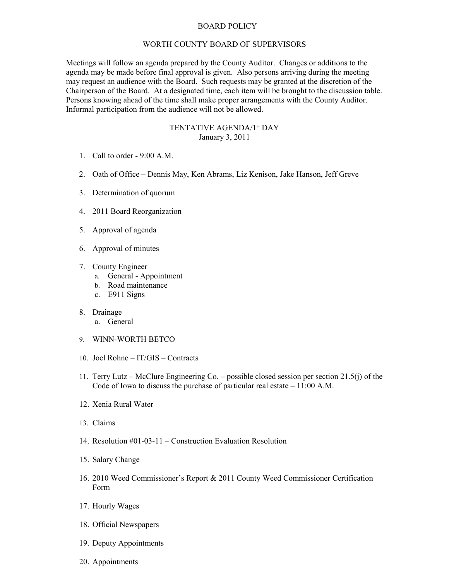## BOARD POLICY

## WORTH COUNTY BOARD OF SUPERVISORS

Meetings will follow an agenda prepared by the County Auditor. Changes or additions to the agenda may be made before final approval is given. Also persons arriving during the meeting may request an audience with the Board. Such requests may be granted at the discretion of the Chairperson of the Board. At a designated time, each item will be brought to the discussion table. Persons knowing ahead of the time shall make proper arrangements with the County Auditor. Informal participation from the audience will not be allowed.

## TENTATIVE AGENDA/1<sup>st</sup> DAY January 3, 2011

- 1. Call to order 9:00 A.M.
- 2. Oath of Office Dennis May, Ken Abrams, Liz Kenison, Jake Hanson, Jeff Greve
- 3. Determination of quorum
- 4. 2011 Board Reorganization
- 5. Approval of agenda
- 6. Approval of minutes
- 7. County Engineer
	- a. General Appointment
	- b. Road maintenance
	- c. E911 Signs
- 8. Drainage
	- a. General
- 9. WINN-WORTH BETCO
- 10. Joel Rohne IT/GIS Contracts
- 11. Terry Lutz McClure Engineering Co. possible closed session per section 21.5(j) of the Code of Iowa to discuss the purchase of particular real estate – 11:00 A.M.
- 12. Xenia Rural Water
- 13. Claims
- 14. Resolution #01-03-11 Construction Evaluation Resolution
- 15. Salary Change
- 16. 2010 Weed Commissioner's Report & 2011 County Weed Commissioner Certification Form
- 17. Hourly Wages
- 18. Official Newspapers
- 19. Deputy Appointments
- 20. Appointments